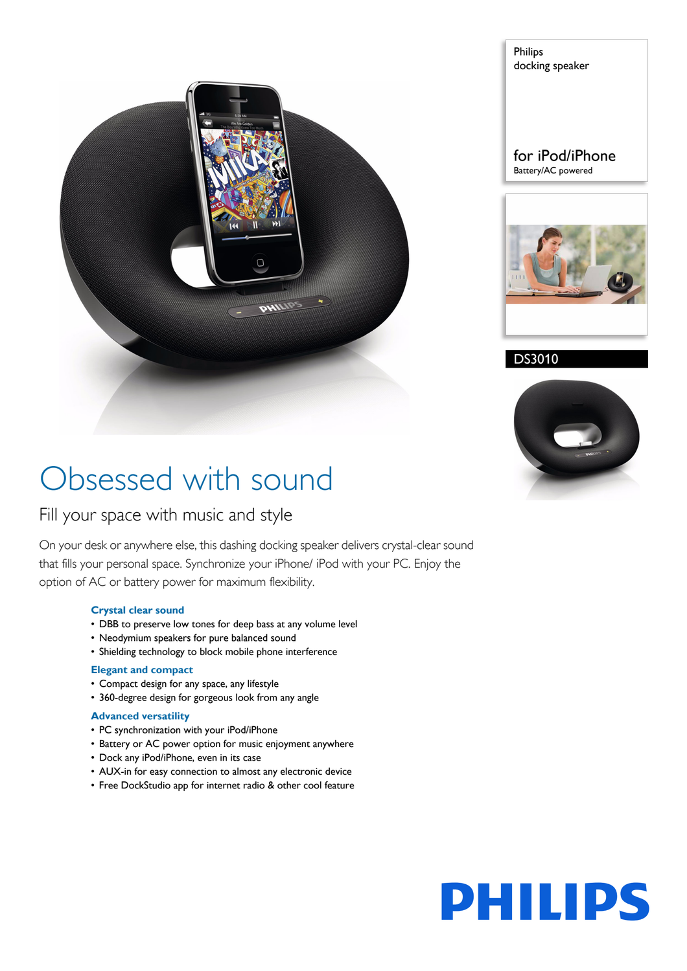

Philips docking speaker

### for iPod/iPhone Battery/AC powered



DS3010



# Obsessed with sound

### Fill your space with music and style

On your desk or anywhere else, this dashing docking speaker delivers crystal-clear sound that fills your personal space. Synchronize your iPhone/ iPod with your PC. Enjoy the option of AC or battery power for maximum flexibility.

#### **Crystal clear sound**

- DBB to preserve low tones for deep bass at any volume level
- Neodymium speakers for pure balanced sound
- Shielding technology to block mobile phone interference

#### **Elegant and compact**

- Compact design for any space, any lifestyle
- 360-degree design for gorgeous look from any angle

#### **Advanced versatility**

- PC synchronization with your iPod/iPhone
- Battery or AC power option for music enjoyment anywhere
- Dock any iPod/iPhone, even in its case
- AUX-in for easy connection to almost any electronic device
- Free DockStudio app for internet radio & other cool feature